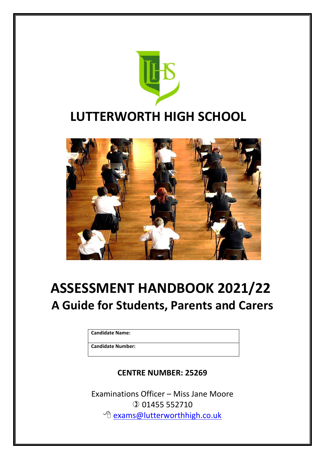



# **ASSESSMENT HANDBOOK 2021/22 A Guide for Students, Parents and Carers**

**Candidate Name:**

**Candidate Number:**

# **CENTRE NUMBER: 25269**

Examinations Officer – Miss Jane Moore 01455 552710 <sup></sub><sup>d</sup> [exams@lutterworthhigh.co.uk](mailto:exams@lutterworthhigh.co.uk)</sup>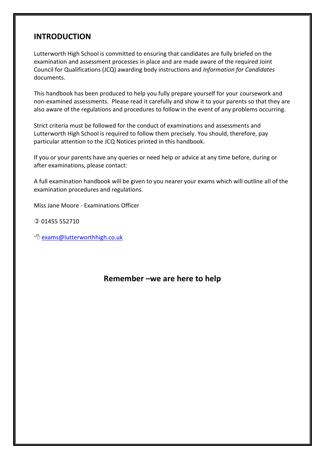## **INTRODUCTION**

Lutterworth High School is committed to ensuring that candidates are fully briefed on the examination and assessment processes in place and are made aware of the required Joint Council for Qualifications (JCQ) awarding body instructions and *Information for Candidates* documents.

This handbook has been produced to help you fully prepare yourself for your coursework and non-examined assessments. Please read it carefully and show it to your parents so that they are also aware of the regulations and procedures to follow in the event of any problems occurring.

Strict criteria must be followed for the conduct of examinations and assessments and Lutterworth High School is required to follow them precisely. You should, therefore, pay particular attention to the JCQ Notices printed in this handbook.

If you or your parents have any queries or need help or advice at any time before, during or after examinations, please contact:

A full examination handbook will be given to you nearer your exams which will outline all of the examination procedures and regulations.

Miss Jane Moore - Examinations Officer

- 01455 552710
- <sup>t</sup> [exams@lutterworthhigh.co.uk](mailto:exams@lutterworthhigh.co.uk)

### **Remember –we are here to help**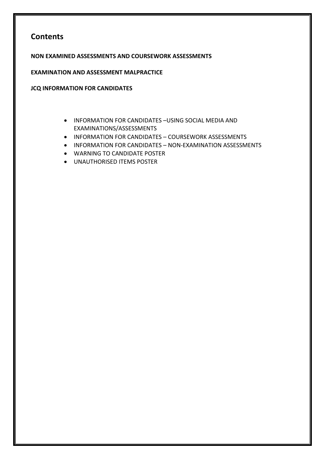## **Contents**

**NON EXAMINED ASSESSMENTS AND COURSEWORK ASSESSMENTS**

**EXAMINATION AND ASSESSMENT MALPRACTICE**

**JCQ INFORMATION FOR CANDIDATES**

- INFORMATION FOR CANDIDATES –USING SOCIAL MEDIA AND EXAMINATIONS/ASSESSMENTS
- INFORMATION FOR CANDIDATES COURSEWORK ASSESSMENTS
- INFORMATION FOR CANDIDATES NON-EXAMINATION ASSESSMENTS
- WARNING TO CANDIDATE POSTER
- UNAUTHORISED ITEMS POSTER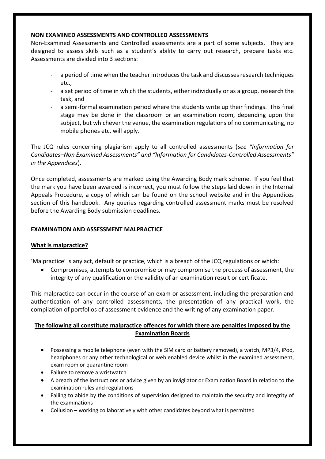#### **NON EXAMINED ASSESSMENTS AND CONTROLLED ASSESSMENTS**

Non-Examined Assessments and Controlled assessments are a part of some subjects. They are designed to assess skills such as a student's ability to carry out research, prepare tasks etc. Assessments are divided into 3 sections:

- a period of time when the teacher introduces the task and discusses research techniques etc.,
- a set period of time in which the students, either individually or as a group, research the task, and
- a semi-formal examination period where the students write up their findings. This final stage may be done in the classroom or an examination room, depending upon the subject, but whichever the venue, the examination regulations of no communicating, no mobile phones etc. will apply.

The JCQ rules concerning plagiarism apply to all controlled assessments (*see "Information for Candidates–Non Examined Assessments" and "Information for Candidates-Controlled Assessments" in the Appendices*).

Once completed, assessments are marked using the Awarding Body mark scheme. If you feel that the mark you have been awarded is incorrect, you must follow the steps laid down in the Internal Appeals Procedure, a copy of which can be found on the school website and in the Appendices section of this handbook. Any queries regarding controlled assessment marks must be resolved before the Awarding Body submission deadlines.

#### **EXAMINATION AND ASSESSMENT MALPRACTICE**

#### **What is malpractice?**

'Malpractice' is any act, default or practice, which is a breach of the JCQ regulations or which:

 Compromises, attempts to compromise or may compromise the process of assessment, the integrity of any qualification or the validity of an examination result or certificate.

This malpractice can occur in the course of an exam or assessment, including the preparation and authentication of any controlled assessments, the presentation of any practical work, the compilation of portfolios of assessment evidence and the writing of any examination paper.

#### **The following all constitute malpractice offences for which there are penalties imposed by the Examination Boards**

- Possessing a mobile telephone (even with the SIM card or battery removed), a watch, MP3/4, iPod, headphones or any other technological or web enabled device whilst in the examined assessment, exam room or quarantine room
- Failure to remove a wristwatch
- A breach of the instructions or advice given by an invigilator or Examination Board in relation to the examination rules and regulations
- Failing to abide by the conditions of supervision designed to maintain the security and integrity of the examinations
- Collusion working collaboratively with other candidates beyond what is permitted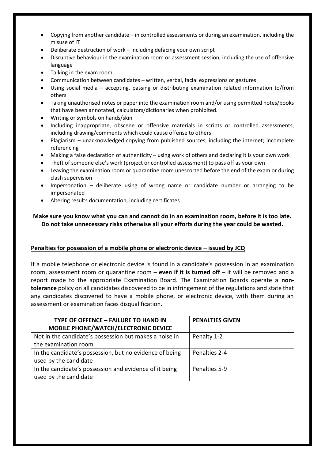- Copying from another candidate in controlled assessments or during an examination, including the misuse of IT
- Deliberate destruction of work including defacing your own script
- Disruptive behaviour in the examination room or assessment session, including the use of offensive language
- Talking in the exam room
- Communication between candidates written, verbal, facial expressions or gestures
- Using social media accepting, passing or distributing examination related information to/from others
- Taking unauthorised notes or paper into the examination room and/or using permitted notes/books that have been annotated, calculators/dictionaries when prohibited.
- Writing or symbols on hands/skin
- Including inappropriate, obscene or offensive materials in scripts or controlled assessments, including drawing/comments which could cause offense to others
- Plagiarism unacknowledged copying from published sources, including the internet; incomplete referencing
- Making a false declaration of authenticity using work of others and declaring it is your own work
- Theft of someone else's work (project or controlled assessment) to pass off as your own
- Leaving the examination room or quarantine room unescorted before the end of the exam or during clash supervision
- Impersonation deliberate using of wrong name or candidate number or arranging to be impersonated
- Altering results documentation, including certificates

**Make sure you know what you can and cannot do in an examination room, before it is too late. Do not take unnecessary risks otherwise all your efforts during the year could be wasted.**

#### **Penalties for possession of a mobile phone or electronic device – issued by JCQ**

If a mobile telephone or electronic device is found in a candidate's possession in an examination room, assessment room or quarantine room – **even if it is turned off** – it will be removed and a report made to the appropriate Examination Board. The Examination Boards operate a **nontolerance** policy on all candidates discovered to be in infringement of the regulations and state that any candidates discovered to have a mobile phone, or electronic device, with them during an assessment or examination faces disqualification.

| <b>TYPE OF OFFENCE - FAILURE TO HAND IN</b>             | <b>PENALTIES GIVEN</b> |
|---------------------------------------------------------|------------------------|
| MOBILE PHONE/WATCH/ELECTRONIC DEVICE                    |                        |
| Not in the candidate's possession but makes a noise in  | Penalty 1-2            |
| the examination room                                    |                        |
| In the candidate's possession, but no evidence of being | Penalties 2-4          |
| used by the candidate                                   |                        |
| In the candidate's possession and evidence of it being  | Penalties 5-9          |
| used by the candidate                                   |                        |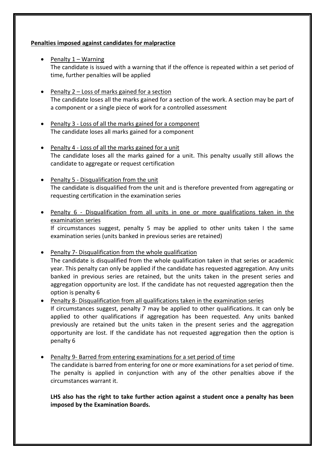#### **Penalties imposed against candidates for malpractice**

- $\bullet$  Penalty 1 Warning The candidate is issued with a warning that if the offence is repeated within a set period of time, further penalties will be applied
- Penalty  $2$  Loss of marks gained for a section The candidate loses all the marks gained for a section of the work. A section may be part of a component or a single piece of work for a controlled assessment
- Penalty 3 Loss of all the marks gained for a component The candidate loses all marks gained for a component
- Penalty 4 Loss of all the marks gained for a unit The candidate loses all the marks gained for a unit. This penalty usually still allows the candidate to aggregate or request certification
- $\bullet$  Penalty 5 Disqualification from the unit The candidate is disqualified from the unit and is therefore prevented from aggregating or requesting certification in the examination series
- Penalty 6 Disqualification from all units in one or more qualifications taken in the examination series

If circumstances suggest, penalty 5 may be applied to other units taken I the same examination series (units banked in previous series are retained)

 Penalty 7- Disqualification from the whole qualification The candidate is disqualified from the whole qualification taken in that series or academic year. This penalty can only be applied if the candidate has requested aggregation. Any units banked in previous series are retained, but the units taken in the present series and aggregation opportunity are lost. If the candidate has not requested aggregation then the option is penalty 6

- Penalty 8- Disqualification from all qualifications taken in the examination series If circumstances suggest, penalty 7 may be applied to other qualifications. It can only be applied to other qualifications if aggregation has been requested. Any units banked previously are retained but the units taken in the present series and the aggregation opportunity are lost. If the candidate has not requested aggregation then the option is penalty 6
- Penalty 9- Barred from entering examinations for a set period of time The candidate is barred from entering for one or more examinations for a set period of time. The penalty is applied in conjunction with any of the other penalties above if the circumstances warrant it.

**LHS also has the right to take further action against a student once a penalty has been imposed by the Examination Boards.**